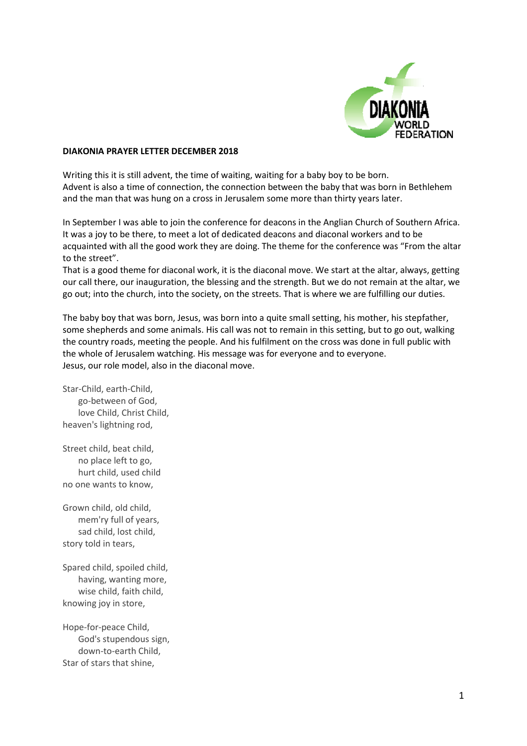

## **DIAKONIA PRAYER LETTER DECEMBER 2018**

Writing this it is still advent, the time of waiting, waiting for a baby boy to be born. Advent is also a time of connection, the connection between the baby that was born in Bethlehem and the man that was hung on a cross in Jerusalem some more than thirty years later.

In September I was able to join the conference for deacons in the Anglian Church of Southern Africa. It was a joy to be there, to meet a lot of dedicated deacons and diaconal workers and to be acquainted with all the good work they are doing. The theme for the conference was "From the altar to the street".

That is a good theme for diaconal work, it is the diaconal move. We start at the altar, always, getting our call there, our inauguration, the blessing and the strength. But we do not remain at the altar, we go out; into the church, into the society, on the streets. That is where we are fulfilling our duties.

The baby boy that was born, Jesus, was born into a quite small setting, his mother, his stepfather, some shepherds and some animals. His call was not to remain in this setting, but to go out, walking the country roads, meeting the people. And his fulfilment on the cross was done in full public with the whole of Jerusalem watching. His message was for everyone and to everyone. Jesus, our role model, also in the diaconal move.

Star-Child, earth-Child, go-between of God, love Child, Christ Child, heaven's lightning rod,

Street child, beat child, no place left to go, hurt child, used child no one wants to know,

Grown child, old child, mem'ry full of years, sad child, lost child, story told in tears,

Spared child, spoiled child, having, wanting more, wise child, faith child, knowing joy in store,

Hope-for-peace Child, God's stupendous sign, down-to-earth Child, Star of stars that shine,